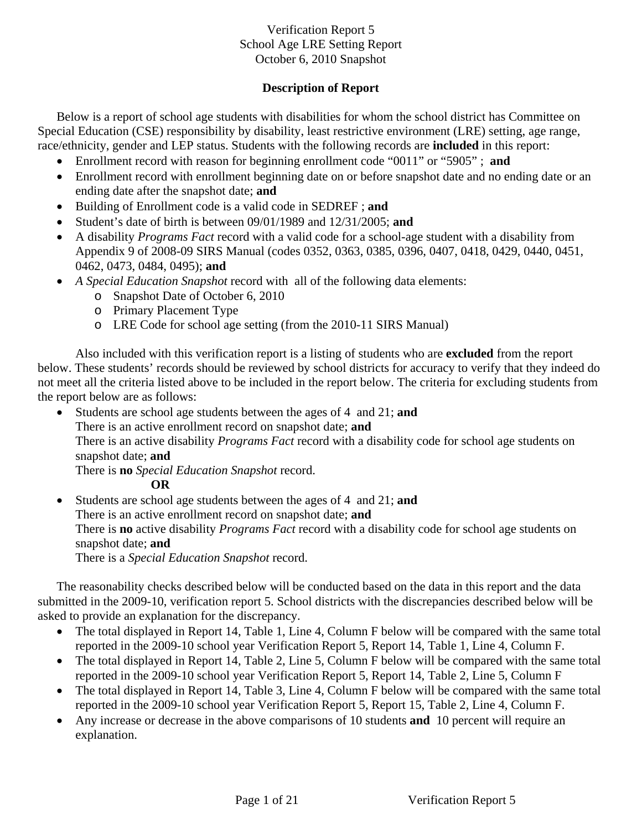# **Description of Report**

Below is a report of school age students with disabilities for whom the school district has Committee on Special Education (CSE) responsibility by disability, least restrictive environment (LRE) setting, age range, race/ethnicity, gender and LEP status. Students with the following records are **included** in this report:

- Enrollment record with reason for beginning enrollment code "0011" or "5905" ; **and**
- Enrollment record with enrollment beginning date on or before snapshot date and no ending date or an ending date after the snapshot date; **and**
- Building of Enrollment code is a valid code in SEDREF ; **and**
- Student's date of birth is between 09/01/1989 and 12/31/2005; **and**
- A disability *Programs Fact* record with a valid code for a school-age student with a disability from Appendix 9 of 2008-09 SIRS Manual (codes 0352, 0363, 0385, 0396, 0407, 0418, 0429, 0440, 0451, 0462, 0473, 0484, 0495); **and**
- *A Special Education Snapshot* record with all of the following data elements:
	- o Snapshot Date of October 6, 2010
	- o Primary Placement Type
	- o LRE Code for school age setting (from the 2010-11 SIRS Manual)

Also included with this verification report is a listing of students who are **excluded** from the report below. These students' records should be reviewed by school districts for accuracy to verify that they indeed do not meet all the criteria listed above to be included in the report below. The criteria for excluding students from the report below are as follows:

• Students are school age students between the ages of 4 and 21; **and**

There is an active enrollment record on snapshot date; **and** 

There is an active disability *Programs Fact* record with a disability code for school age students on snapshot date; **and** 

There is **no** *Special Education Snapshot* record.

**OR** 

• Students are school age students between the ages of 4 and 21; **and** There is an active enrollment record on snapshot date; **and** There is **no** active disability *Programs Fact* record with a disability code for school age students on snapshot date; **and**  There is a *Special Education Snapshot* record.

The reasonability checks described below will be conducted based on the data in this report and the data submitted in the 2009-10, verification report 5. School districts with the discrepancies described below will be asked to provide an explanation for the discrepancy.

- The total displayed in Report 14, Table 1, Line 4, Column F below will be compared with the same total reported in the 2009-10 school year Verification Report 5, Report 14, Table 1, Line 4, Column F.
- The total displayed in Report 14, Table 2, Line 5, Column F below will be compared with the same total reported in the 2009-10 school year Verification Report 5, Report 14, Table 2, Line 5, Column F
- The total displayed in Report 14, Table 3, Line 4, Column F below will be compared with the same total reported in the 2009-10 school year Verification Report 5, Report 15, Table 2, Line 4, Column F.
- Any increase or decrease in the above comparisons of 10 students **and** 10 percent will require an explanation.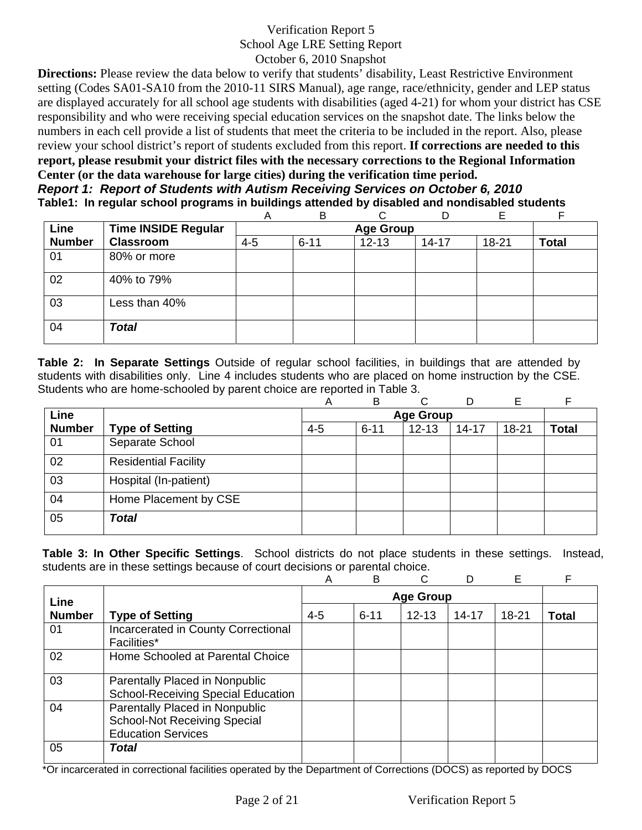**Directions:** Please review the data below to verify that students' disability, Least Restrictive Environment setting (Codes SA01-SA10 from the 2010-11 SIRS Manual), age range, race/ethnicity, gender and LEP status are displayed accurately for all school age students with disabilities (aged 4-21) for whom your district has CSE responsibility and who were receiving special education services on the snapshot date. The links below the numbers in each cell provide a list of students that meet the criteria to be included in the report. Also, please review your school district's report of students excluded from this report. **If corrections are needed to this report, please resubmit your district files with the necessary corrections to the Regional Information Center (or the data warehouse for large cities) during the verification time period.** *Report 1: Report of Students with Autism Receiving Services on October 6, 2010*

**Table1: In regular school programs in buildings attended by disabled and nondisabled students** 

|               |                            | Α       | B        | ⌒                | D         | F     |              |
|---------------|----------------------------|---------|----------|------------------|-----------|-------|--------------|
| Line          | <b>Time INSIDE Regular</b> |         |          | <b>Age Group</b> |           |       |              |
| <b>Number</b> | <b>Classroom</b>           | $4 - 5$ | $6 - 11$ | $12 - 13$        | $14 - 17$ | 18-21 | <b>Total</b> |
| 01            | 80% or more                |         |          |                  |           |       |              |
| 02            | 40% to 79%                 |         |          |                  |           |       |              |
| 03            | Less than 40%              |         |          |                  |           |       |              |
| 04            | <b>Total</b>               |         |          |                  |           |       |              |

**Table 2: In Separate Settings** Outside of regular school facilities, in buildings that are attended by students with disabilities only. Line 4 includes students who are placed on home instruction by the CSE. Students who are home-schooled by parent choice are reported in Table 3.

|               |                             | Α       | B        | C                | D         | Е         |       |
|---------------|-----------------------------|---------|----------|------------------|-----------|-----------|-------|
| Line          |                             |         |          | <b>Age Group</b> |           |           |       |
| <b>Number</b> | <b>Type of Setting</b>      | $4 - 5$ | $6 - 11$ | $12 - 13$        | $14 - 17$ | $18 - 21$ | Total |
| 01            | Separate School             |         |          |                  |           |           |       |
| 02            | <b>Residential Facility</b> |         |          |                  |           |           |       |
| 03            | Hospital (In-patient)       |         |          |                  |           |           |       |
| 04            | Home Placement by CSE       |         |          |                  |           |           |       |
| 05            | <b>Total</b>                |         |          |                  |           |           |       |

**Table 3: In Other Specific Settings**. School districts do not place students in these settings. Instead, students are in these settings because of court decisions or parental choice.

|               |                                                                                                    | Α       | B        | C                |           | Е         |       |
|---------------|----------------------------------------------------------------------------------------------------|---------|----------|------------------|-----------|-----------|-------|
| Line          |                                                                                                    |         |          | <b>Age Group</b> |           |           |       |
| <b>Number</b> | <b>Type of Setting</b>                                                                             | $4 - 5$ | $6 - 11$ | $12 - 13$        | $14 - 17$ | $18 - 21$ | Total |
| 01            | Incarcerated in County Correctional<br>Facilities*                                                 |         |          |                  |           |           |       |
| 02            | Home Schooled at Parental Choice                                                                   |         |          |                  |           |           |       |
| 03            | Parentally Placed in Nonpublic<br><b>School-Receiving Special Education</b>                        |         |          |                  |           |           |       |
| 04            | Parentally Placed in Nonpublic<br><b>School-Not Receiving Special</b><br><b>Education Services</b> |         |          |                  |           |           |       |
| 05            | <b>Total</b>                                                                                       |         |          |                  |           |           |       |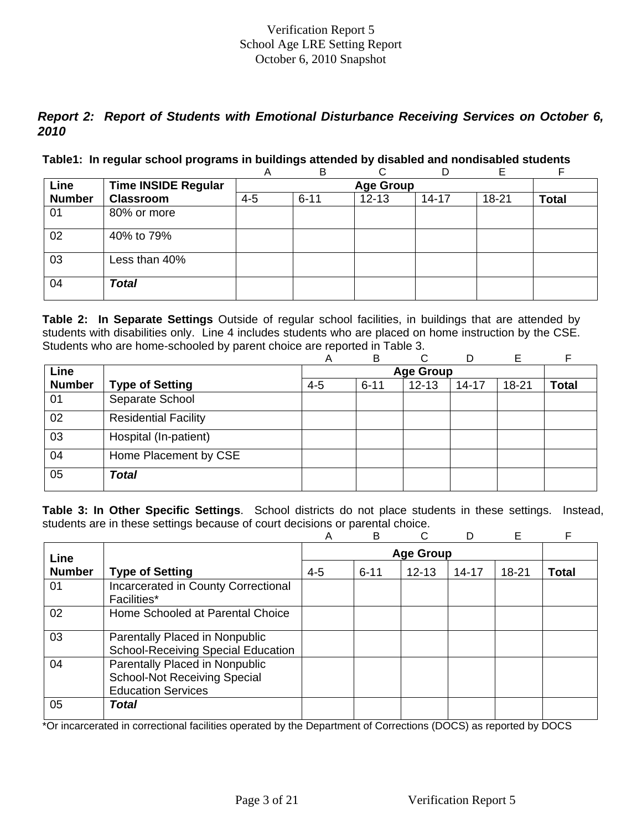# *Report 2: Report of Students with Emotional Disturbance Receiving Services on October 6, 2010*

#### **Table1: In regular school programs in buildings attended by disabled and nondisabled students**

|               |                            | Α       | B        |                  | D         | Е     |              |
|---------------|----------------------------|---------|----------|------------------|-----------|-------|--------------|
| Line          | <b>Time INSIDE Regular</b> |         |          | <b>Age Group</b> |           |       |              |
| <b>Number</b> | <b>Classroom</b>           | $4 - 5$ | $6 - 11$ | $12 - 13$        | $14 - 17$ | 18-21 | <b>Total</b> |
| 01            | 80% or more                |         |          |                  |           |       |              |
| 02            | 40% to 79%                 |         |          |                  |           |       |              |
| 03            | Less than 40%              |         |          |                  |           |       |              |
| 04            | <b>Total</b>               |         |          |                  |           |       |              |

**Table 2: In Separate Settings** Outside of regular school facilities, in buildings that are attended by students with disabilities only. Line 4 includes students who are placed on home instruction by the CSE. Students who are home-schooled by parent choice are reported in Table 3.

|               |                             | Α       | B        | C                | D         | E         |              |
|---------------|-----------------------------|---------|----------|------------------|-----------|-----------|--------------|
| Line          |                             |         |          | <b>Age Group</b> |           |           |              |
| <b>Number</b> | <b>Type of Setting</b>      | $4 - 5$ | $6 - 11$ | $12 - 13$        | $14 - 17$ | $18 - 21$ | <b>Total</b> |
| 01            | Separate School             |         |          |                  |           |           |              |
| 02            | <b>Residential Facility</b> |         |          |                  |           |           |              |
| 03            | Hospital (In-patient)       |         |          |                  |           |           |              |
| 04            | Home Placement by CSE       |         |          |                  |           |           |              |
| 05            | <b>Total</b>                |         |          |                  |           |           |              |

**Table 3: In Other Specific Settings**. School districts do not place students in these settings. Instead, students are in these settings because of court decisions or parental choice.

|               |                                                                                                    | A       | B                | C         |           | E         | F     |  |  |
|---------------|----------------------------------------------------------------------------------------------------|---------|------------------|-----------|-----------|-----------|-------|--|--|
| Line          |                                                                                                    |         | <b>Age Group</b> |           |           |           |       |  |  |
| <b>Number</b> | <b>Type of Setting</b>                                                                             | $4 - 5$ | $6 - 11$         | $12 - 13$ | $14 - 17$ | $18 - 21$ | Total |  |  |
| 01            | Incarcerated in County Correctional<br><b>Facilities*</b>                                          |         |                  |           |           |           |       |  |  |
| 02            | Home Schooled at Parental Choice                                                                   |         |                  |           |           |           |       |  |  |
| 03            | Parentally Placed in Nonpublic<br><b>School-Receiving Special Education</b>                        |         |                  |           |           |           |       |  |  |
| 04            | Parentally Placed in Nonpublic<br><b>School-Not Receiving Special</b><br><b>Education Services</b> |         |                  |           |           |           |       |  |  |
| 05            | Total                                                                                              |         |                  |           |           |           |       |  |  |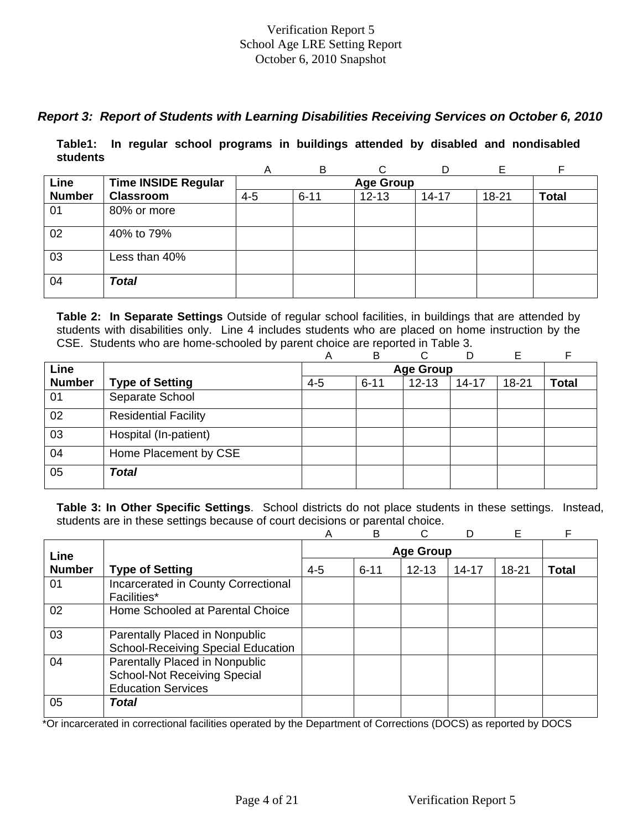# *Report 3: Report of Students with Learning Disabilities Receiving Services on October 6, 2010*

**Table1: In regular school programs in buildings attended by disabled and nondisabled students** 

|               |                            | A       | B        |                  | D         | Е         |              |
|---------------|----------------------------|---------|----------|------------------|-----------|-----------|--------------|
| Line          | <b>Time INSIDE Regular</b> |         |          | <b>Age Group</b> |           |           |              |
| <b>Number</b> | <b>Classroom</b>           | $4 - 5$ | $6 - 11$ | $12 - 13$        | $14 - 17$ | $18 - 21$ | <b>Total</b> |
| 01            | 80% or more                |         |          |                  |           |           |              |
| 02            | 40% to 79%                 |         |          |                  |           |           |              |
| 03            | Less than 40%              |         |          |                  |           |           |              |
| 04            | <b>Total</b>               |         |          |                  |           |           |              |

**Table 2: In Separate Settings** Outside of regular school facilities, in buildings that are attended by students with disabilities only. Line 4 includes students who are placed on home instruction by the CSE. Students who are home-schooled by parent choice are reported in Table 3.

|               |                             | А       | в        | ⌒                | D         | E         |              |
|---------------|-----------------------------|---------|----------|------------------|-----------|-----------|--------------|
| Line          |                             |         |          | <b>Age Group</b> |           |           |              |
| <b>Number</b> | <b>Type of Setting</b>      | $4 - 5$ | $6 - 11$ | $12 - 13$        | $14 - 17$ | $18 - 21$ | <b>Total</b> |
| 01            | Separate School             |         |          |                  |           |           |              |
| 02            | <b>Residential Facility</b> |         |          |                  |           |           |              |
| 03            | Hospital (In-patient)       |         |          |                  |           |           |              |
| 04            | Home Placement by CSE       |         |          |                  |           |           |              |
| 05            | <b>Total</b>                |         |          |                  |           |           |              |

**Table 3: In Other Specific Settings**. School districts do not place students in these settings. Instead, students are in these settings because of court decisions or parental choice.

|               |                                                                                                    | Α       | B        |                  |           | E         | F     |
|---------------|----------------------------------------------------------------------------------------------------|---------|----------|------------------|-----------|-----------|-------|
| Line          |                                                                                                    |         |          | <b>Age Group</b> |           |           |       |
| <b>Number</b> | <b>Type of Setting</b>                                                                             | $4 - 5$ | $6 - 11$ | $12 - 13$        | $14 - 17$ | $18 - 21$ | Total |
| 01            | Incarcerated in County Correctional<br>Facilities*                                                 |         |          |                  |           |           |       |
| 02            | Home Schooled at Parental Choice                                                                   |         |          |                  |           |           |       |
| 03            | Parentally Placed in Nonpublic<br><b>School-Receiving Special Education</b>                        |         |          |                  |           |           |       |
| 04            | Parentally Placed in Nonpublic<br><b>School-Not Receiving Special</b><br><b>Education Services</b> |         |          |                  |           |           |       |
| 05            | Total                                                                                              |         |          |                  |           |           |       |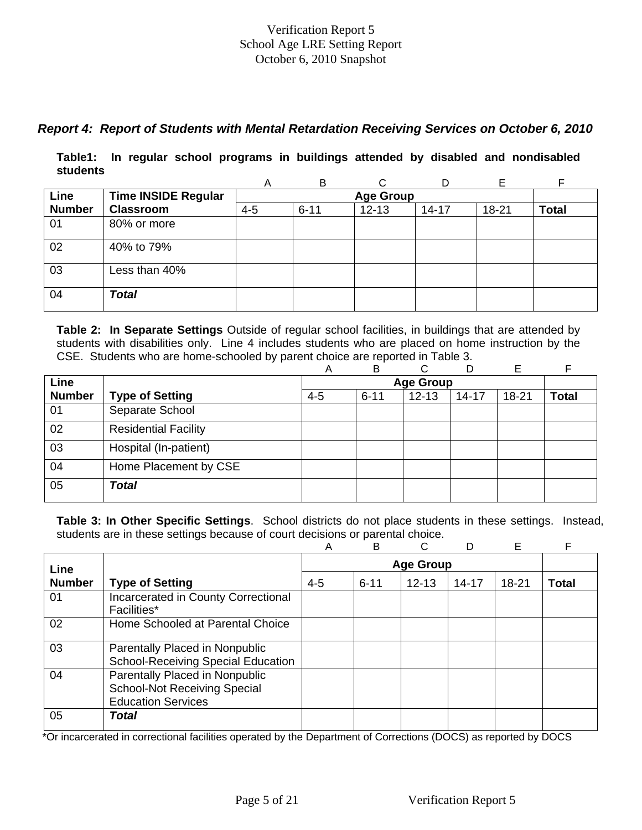# *Report 4: Report of Students with Mental Retardation Receiving Services on October 6, 2010*

**Table1: In regular school programs in buildings attended by disabled and nondisabled students** 

|               |                            | A       | B                |           | D         | F         |              |  |  |  |  |  |
|---------------|----------------------------|---------|------------------|-----------|-----------|-----------|--------------|--|--|--|--|--|
| Line          | <b>Time INSIDE Regular</b> |         | <b>Age Group</b> |           |           |           |              |  |  |  |  |  |
| <b>Number</b> | <b>Classroom</b>           | $4 - 5$ | $6 - 11$         | $12 - 13$ | $14 - 17$ | $18 - 21$ | <b>Total</b> |  |  |  |  |  |
| 01            | 80% or more                |         |                  |           |           |           |              |  |  |  |  |  |
| 02            | 40% to 79%                 |         |                  |           |           |           |              |  |  |  |  |  |
| 03            | Less than 40%              |         |                  |           |           |           |              |  |  |  |  |  |
| 04            | <b>Total</b>               |         |                  |           |           |           |              |  |  |  |  |  |

**Table 2: In Separate Settings** Outside of regular school facilities, in buildings that are attended by students with disabilities only. Line 4 includes students who are placed on home instruction by the CSE. Students who are home-schooled by parent choice are reported in Table 3.

|               |                             | Α       | B        | ⌒                | D         | Е         |              |
|---------------|-----------------------------|---------|----------|------------------|-----------|-----------|--------------|
| Line          |                             |         |          | <b>Age Group</b> |           |           |              |
| <b>Number</b> | <b>Type of Setting</b>      | $4 - 5$ | $6 - 11$ | $12 - 13$        | $14 - 17$ | $18 - 21$ | <b>Total</b> |
| 01            | Separate School             |         |          |                  |           |           |              |
| 02            | <b>Residential Facility</b> |         |          |                  |           |           |              |
| 03            | Hospital (In-patient)       |         |          |                  |           |           |              |
| 04            | Home Placement by CSE       |         |          |                  |           |           |              |
| 05            | <b>Total</b>                |         |          |                  |           |           |              |

**Table 3: In Other Specific Settings**. School districts do not place students in these settings. Instead, students are in these settings because of court decisions or parental choice.

|               |                                                                                                    | Α       | B        | C                |           | E         | F     |
|---------------|----------------------------------------------------------------------------------------------------|---------|----------|------------------|-----------|-----------|-------|
| Line          |                                                                                                    |         |          | <b>Age Group</b> |           |           |       |
| <b>Number</b> | <b>Type of Setting</b>                                                                             | $4 - 5$ | $6 - 11$ | $12 - 13$        | $14 - 17$ | $18 - 21$ | Total |
| 01            | Incarcerated in County Correctional<br>Facilities*                                                 |         |          |                  |           |           |       |
| 02            | Home Schooled at Parental Choice                                                                   |         |          |                  |           |           |       |
| 03            | Parentally Placed in Nonpublic<br><b>School-Receiving Special Education</b>                        |         |          |                  |           |           |       |
| 04            | Parentally Placed in Nonpublic<br><b>School-Not Receiving Special</b><br><b>Education Services</b> |         |          |                  |           |           |       |
| 05            | Total                                                                                              |         |          |                  |           |           |       |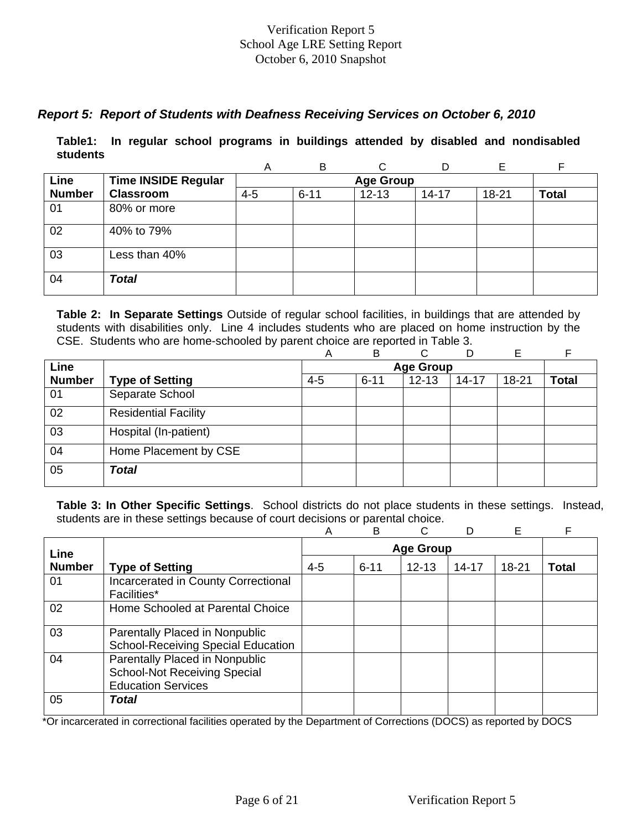# *Report 5: Report of Students with Deafness Receiving Services on October 6, 2010*

**Table1: In regular school programs in buildings attended by disabled and nondisabled students** 

|               |                            | Α       | B        | C                |           |       | F            |
|---------------|----------------------------|---------|----------|------------------|-----------|-------|--------------|
| Line          | <b>Time INSIDE Regular</b> |         |          | <b>Age Group</b> |           |       |              |
| <b>Number</b> | <b>Classroom</b>           | $4 - 5$ | $6 - 11$ | $12 - 13$        | $14 - 17$ | 18-21 | <b>Total</b> |
| 01            | 80% or more                |         |          |                  |           |       |              |
| 02            | 40% to 79%                 |         |          |                  |           |       |              |
| 03            | Less than 40%              |         |          |                  |           |       |              |
| 04            | <b>Total</b>               |         |          |                  |           |       |              |

**Table 2: In Separate Settings** Outside of regular school facilities, in buildings that are attended by students with disabilities only. Line 4 includes students who are placed on home instruction by the CSE. Students who are home-schooled by parent choice are reported in Table 3.

|               |                             | А       | B        | ⌒                | D         | E         | F            |
|---------------|-----------------------------|---------|----------|------------------|-----------|-----------|--------------|
| Line          |                             |         |          | <b>Age Group</b> |           |           |              |
| <b>Number</b> | <b>Type of Setting</b>      | $4 - 5$ | $6 - 11$ | $12 - 13$        | $14 - 17$ | $18 - 21$ | <b>Total</b> |
| 01            | Separate School             |         |          |                  |           |           |              |
| 02            | <b>Residential Facility</b> |         |          |                  |           |           |              |
| 03            | Hospital (In-patient)       |         |          |                  |           |           |              |
| 04            | Home Placement by CSE       |         |          |                  |           |           |              |
| 05            | <b>Total</b>                |         |          |                  |           |           |              |

**Table 3: In Other Specific Settings**. School districts do not place students in these settings. Instead, students are in these settings because of court decisions or parental choice.

|               |                                                                                                    | Α       | B        | C                |           | Е         | F            |
|---------------|----------------------------------------------------------------------------------------------------|---------|----------|------------------|-----------|-----------|--------------|
| Line          |                                                                                                    |         |          | <b>Age Group</b> |           |           |              |
| <b>Number</b> | <b>Type of Setting</b>                                                                             | $4 - 5$ | $6 - 11$ | $12 - 13$        | $14 - 17$ | $18 - 21$ | <b>Total</b> |
| 01            | Incarcerated in County Correctional<br><b>Facilities*</b>                                          |         |          |                  |           |           |              |
| 02            | Home Schooled at Parental Choice                                                                   |         |          |                  |           |           |              |
| 03            | Parentally Placed in Nonpublic<br><b>School-Receiving Special Education</b>                        |         |          |                  |           |           |              |
| 04            | Parentally Placed in Nonpublic<br><b>School-Not Receiving Special</b><br><b>Education Services</b> |         |          |                  |           |           |              |
| 05            | <b>Total</b>                                                                                       |         |          |                  |           |           |              |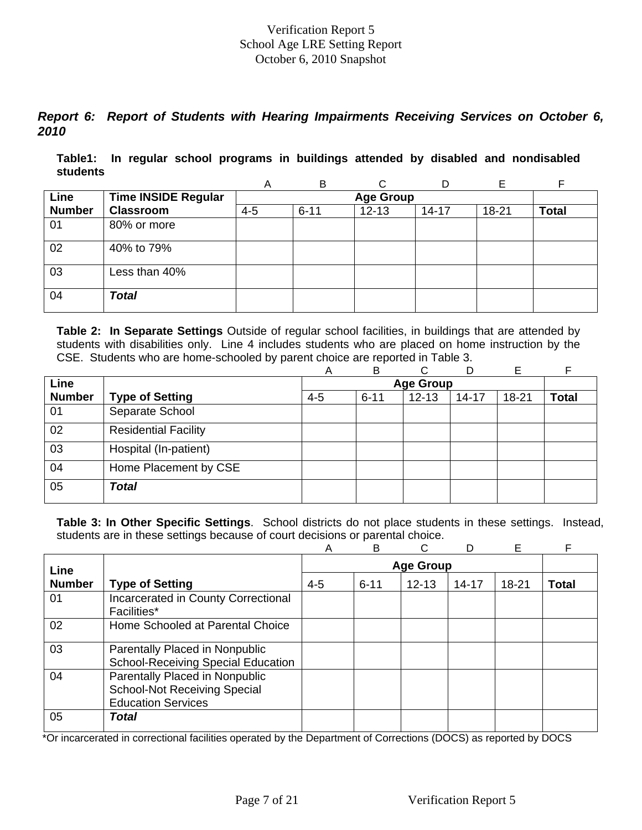# *Report 6: Report of Students with Hearing Impairments Receiving Services on October 6, 2010*

**Table1: In regular school programs in buildings attended by disabled and nondisabled students** 

|               |                            | A       | B                |           |           | F         |              |  |  |  |  |  |
|---------------|----------------------------|---------|------------------|-----------|-----------|-----------|--------------|--|--|--|--|--|
| Line          | <b>Time INSIDE Regular</b> |         | <b>Age Group</b> |           |           |           |              |  |  |  |  |  |
| <b>Number</b> | <b>Classroom</b>           | $4 - 5$ | $6 - 11$         | $12 - 13$ | $14 - 17$ | $18 - 21$ | <b>Total</b> |  |  |  |  |  |
| 01            | 80% or more                |         |                  |           |           |           |              |  |  |  |  |  |
| 02            | 40% to 79%                 |         |                  |           |           |           |              |  |  |  |  |  |
| 03            | Less than 40%              |         |                  |           |           |           |              |  |  |  |  |  |
| 04            | <b>Total</b>               |         |                  |           |           |           |              |  |  |  |  |  |

**Table 2: In Separate Settings** Outside of regular school facilities, in buildings that are attended by students with disabilities only. Line 4 includes students who are placed on home instruction by the CSE. Students who are home-schooled by parent choice are reported in Table 3.

|               |                             | Α       | B        | C                | D         | Е         |              |
|---------------|-----------------------------|---------|----------|------------------|-----------|-----------|--------------|
| Line          |                             |         |          | <b>Age Group</b> |           |           |              |
| <b>Number</b> | <b>Type of Setting</b>      | $4 - 5$ | $6 - 11$ | $12 - 13$        | $14 - 17$ | $18 - 21$ | <b>Total</b> |
| 01            | Separate School             |         |          |                  |           |           |              |
| 02            | <b>Residential Facility</b> |         |          |                  |           |           |              |
| 03            | Hospital (In-patient)       |         |          |                  |           |           |              |
| 04            | Home Placement by CSE       |         |          |                  |           |           |              |
| 05            | <b>Total</b>                |         |          |                  |           |           |              |

**Table 3: In Other Specific Settings**. School districts do not place students in these settings. Instead, students are in these settings because of court decisions or parental choice.

|               |                                                                                                    | Α       | B        | C                |           | E     | F            |
|---------------|----------------------------------------------------------------------------------------------------|---------|----------|------------------|-----------|-------|--------------|
| Line          |                                                                                                    |         |          | <b>Age Group</b> |           |       |              |
| <b>Number</b> | <b>Type of Setting</b>                                                                             | $4 - 5$ | $6 - 11$ | $12 - 13$        | $14 - 17$ | 18-21 | <b>Total</b> |
| 01            | Incarcerated in County Correctional<br><b>Facilities*</b>                                          |         |          |                  |           |       |              |
| 02            | Home Schooled at Parental Choice                                                                   |         |          |                  |           |       |              |
| 03            | Parentally Placed in Nonpublic<br><b>School-Receiving Special Education</b>                        |         |          |                  |           |       |              |
| 04            | Parentally Placed in Nonpublic<br><b>School-Not Receiving Special</b><br><b>Education Services</b> |         |          |                  |           |       |              |
| 05            | Total                                                                                              |         |          |                  |           |       |              |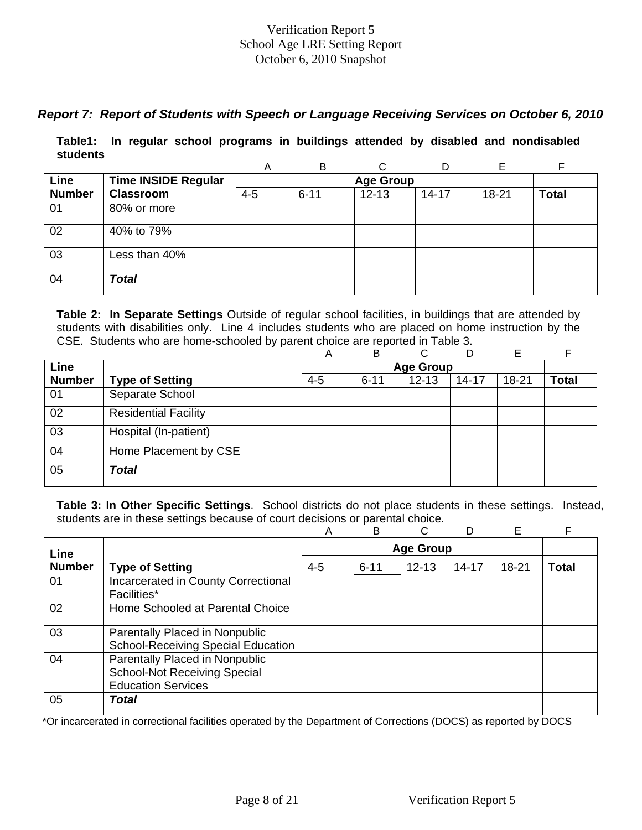# *Report 7: Report of Students with Speech or Language Receiving Services on October 6, 2010*

**Table1: In regular school programs in buildings attended by disabled and nondisabled students** 

|               |                            | A       | B        |                  | D         | E     |              |
|---------------|----------------------------|---------|----------|------------------|-----------|-------|--------------|
| Line          | <b>Time INSIDE Regular</b> |         |          | <b>Age Group</b> |           |       |              |
| <b>Number</b> | <b>Classroom</b>           | $4 - 5$ | $6 - 11$ | $12 - 13$        | $14 - 17$ | 18-21 | <b>Total</b> |
| 01            | 80% or more                |         |          |                  |           |       |              |
| 02            | 40% to 79%                 |         |          |                  |           |       |              |
| 03            | Less than 40%              |         |          |                  |           |       |              |
| 04            | <b>Total</b>               |         |          |                  |           |       |              |

**Table 2: In Separate Settings** Outside of regular school facilities, in buildings that are attended by students with disabilities only. Line 4 includes students who are placed on home instruction by the CSE. Students who are home-schooled by parent choice are reported in Table 3.

|               |                             | А       | B        | ⌒                | D         | E         | F            |
|---------------|-----------------------------|---------|----------|------------------|-----------|-----------|--------------|
| Line          |                             |         |          | <b>Age Group</b> |           |           |              |
| <b>Number</b> | <b>Type of Setting</b>      | $4 - 5$ | $6 - 11$ | $12 - 13$        | $14 - 17$ | $18 - 21$ | <b>Total</b> |
| 01            | Separate School             |         |          |                  |           |           |              |
| 02            | <b>Residential Facility</b> |         |          |                  |           |           |              |
| 03            | Hospital (In-patient)       |         |          |                  |           |           |              |
| 04            | Home Placement by CSE       |         |          |                  |           |           |              |
| 05            | <b>Total</b>                |         |          |                  |           |           |              |

**Table 3: In Other Specific Settings**. School districts do not place students in these settings. Instead, students are in these settings because of court decisions or parental choice.

|               |                                                                                                    | Α       | B        |                  |           | Е         | F            |
|---------------|----------------------------------------------------------------------------------------------------|---------|----------|------------------|-----------|-----------|--------------|
| Line          |                                                                                                    |         |          | <b>Age Group</b> |           |           |              |
| <b>Number</b> | <b>Type of Setting</b>                                                                             | $4 - 5$ | $6 - 11$ | $12 - 13$        | $14 - 17$ | $18 - 21$ | <b>Total</b> |
| 01            | Incarcerated in County Correctional<br>Facilities*                                                 |         |          |                  |           |           |              |
| 02            | Home Schooled at Parental Choice                                                                   |         |          |                  |           |           |              |
| 03            | Parentally Placed in Nonpublic<br><b>School-Receiving Special Education</b>                        |         |          |                  |           |           |              |
| 04            | Parentally Placed in Nonpublic<br><b>School-Not Receiving Special</b><br><b>Education Services</b> |         |          |                  |           |           |              |
| 05            | Total                                                                                              |         |          |                  |           |           |              |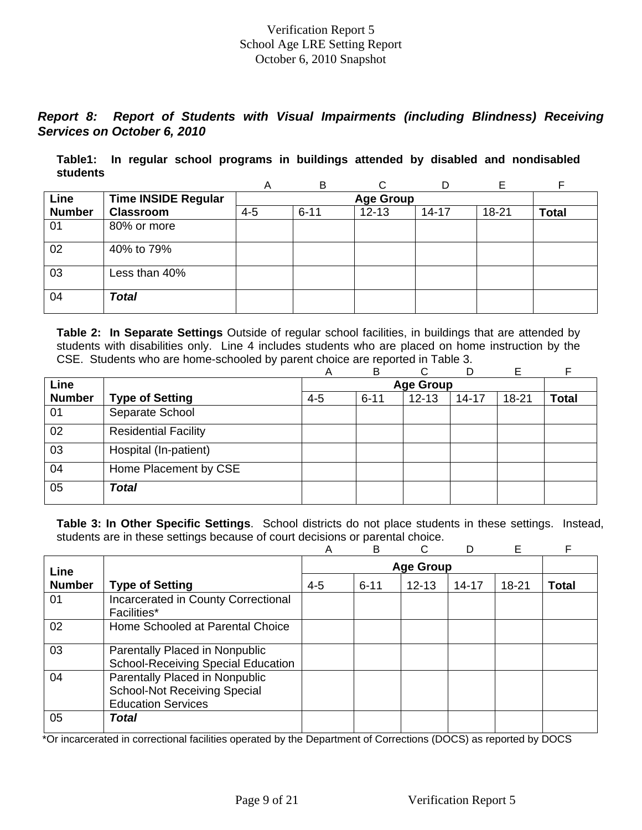# *Report 8: Report of Students with Visual Impairments (including Blindness) Receiving Services on October 6, 2010*

**Table1: In regular school programs in buildings attended by disabled and nondisabled students** 

|               |                            | Α       | B                | ⌒         |           |       | F            |  |  |  |  |  |
|---------------|----------------------------|---------|------------------|-----------|-----------|-------|--------------|--|--|--|--|--|
| Line          | <b>Time INSIDE Regular</b> |         | <b>Age Group</b> |           |           |       |              |  |  |  |  |  |
| <b>Number</b> | <b>Classroom</b>           | $4 - 5$ | $6 - 11$         | $12 - 13$ | $14 - 17$ | 18-21 | <b>Total</b> |  |  |  |  |  |
| 01            | 80% or more                |         |                  |           |           |       |              |  |  |  |  |  |
| 02            | 40% to 79%                 |         |                  |           |           |       |              |  |  |  |  |  |
| 03            | Less than 40%              |         |                  |           |           |       |              |  |  |  |  |  |
| 04            | <b>Total</b>               |         |                  |           |           |       |              |  |  |  |  |  |

**Table 2: In Separate Settings** Outside of regular school facilities, in buildings that are attended by students with disabilities only. Line 4 includes students who are placed on home instruction by the CSE. Students who are home-schooled by parent choice are reported in Table 3.

|               |                             | Α       | B        | C.               | D         | Е         | F            |
|---------------|-----------------------------|---------|----------|------------------|-----------|-----------|--------------|
| Line          |                             |         |          | <b>Age Group</b> |           |           |              |
| <b>Number</b> | <b>Type of Setting</b>      | $4 - 5$ | $6 - 11$ | $12 - 13$        | $14 - 17$ | $18 - 21$ | <b>Total</b> |
| 01            | Separate School             |         |          |                  |           |           |              |
| 02            | <b>Residential Facility</b> |         |          |                  |           |           |              |
| 03            | Hospital (In-patient)       |         |          |                  |           |           |              |
| 04            | Home Placement by CSE       |         |          |                  |           |           |              |
| 05            | <b>Total</b>                |         |          |                  |           |           |              |

**Table 3: In Other Specific Settings**. School districts do not place students in these settings. Instead, students are in these settings because of court decisions or parental choice.

|               |                                                                                                    | Α       | B        | C.               |           | E         | F            |
|---------------|----------------------------------------------------------------------------------------------------|---------|----------|------------------|-----------|-----------|--------------|
| Line          |                                                                                                    |         |          | <b>Age Group</b> |           |           |              |
| <b>Number</b> | <b>Type of Setting</b>                                                                             | $4 - 5$ | $6 - 11$ | $12 - 13$        | $14 - 17$ | $18 - 21$ | <b>Total</b> |
| 01            | Incarcerated in County Correctional<br><b>Facilities*</b>                                          |         |          |                  |           |           |              |
| 02            | Home Schooled at Parental Choice                                                                   |         |          |                  |           |           |              |
| 03            | Parentally Placed in Nonpublic<br><b>School-Receiving Special Education</b>                        |         |          |                  |           |           |              |
| 04            | Parentally Placed in Nonpublic<br><b>School-Not Receiving Special</b><br><b>Education Services</b> |         |          |                  |           |           |              |
| 05            | Total                                                                                              |         |          |                  |           |           |              |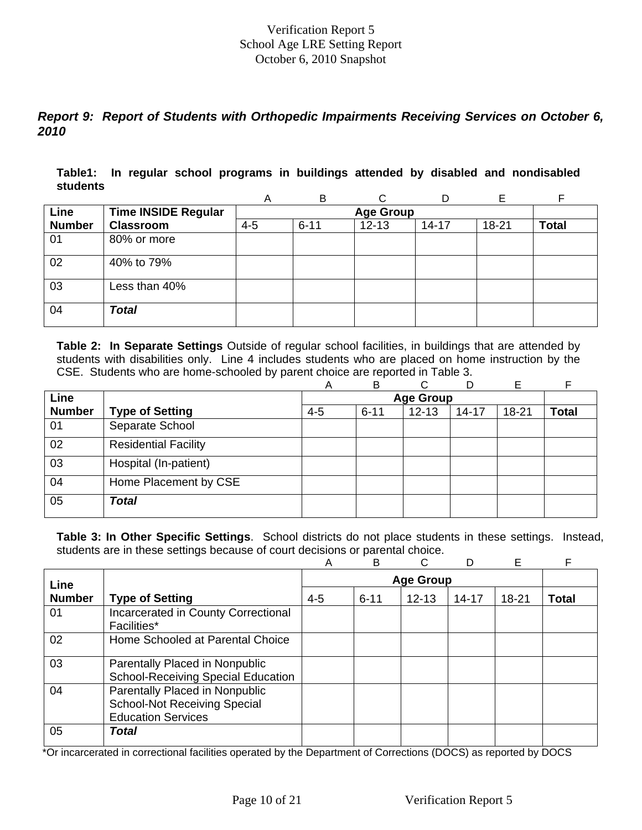# *Report 9: Report of Students with Orthopedic Impairments Receiving Services on October 6, 2010*

**Table1: In regular school programs in buildings attended by disabled and nondisabled students** 

|               |                            | A       | B                |           | D         | F         |              |  |  |  |  |  |
|---------------|----------------------------|---------|------------------|-----------|-----------|-----------|--------------|--|--|--|--|--|
| Line          | <b>Time INSIDE Regular</b> |         | <b>Age Group</b> |           |           |           |              |  |  |  |  |  |
| <b>Number</b> | <b>Classroom</b>           | $4 - 5$ | $6 - 11$         | $12 - 13$ | $14 - 17$ | $18 - 21$ | <b>Total</b> |  |  |  |  |  |
| 01            | 80% or more                |         |                  |           |           |           |              |  |  |  |  |  |
| 02            | 40% to 79%                 |         |                  |           |           |           |              |  |  |  |  |  |
| 03            | Less than 40%              |         |                  |           |           |           |              |  |  |  |  |  |
| 04            | <b>Total</b>               |         |                  |           |           |           |              |  |  |  |  |  |

**Table 2: In Separate Settings** Outside of regular school facilities, in buildings that are attended by students with disabilities only. Line 4 includes students who are placed on home instruction by the CSE. Students who are home-schooled by parent choice are reported in Table 3.

|               |                             | Α       | B        | ⌒                |           | E         |              |
|---------------|-----------------------------|---------|----------|------------------|-----------|-----------|--------------|
| Line          |                             |         |          | <b>Age Group</b> |           |           |              |
| <b>Number</b> | <b>Type of Setting</b>      | $4 - 5$ | $6 - 11$ | $12 - 13$        | $14 - 17$ | $18 - 21$ | <b>Total</b> |
| 01            | Separate School             |         |          |                  |           |           |              |
| 02            | <b>Residential Facility</b> |         |          |                  |           |           |              |
| 03            | Hospital (In-patient)       |         |          |                  |           |           |              |
| 04            | Home Placement by CSE       |         |          |                  |           |           |              |
| 05            | <b>Total</b>                |         |          |                  |           |           |              |

**Table 3: In Other Specific Settings**. School districts do not place students in these settings. Instead, students are in these settings because of court decisions or parental choice.

|               |                                                                                                    | A       | B        | C                |           | E         | F     |
|---------------|----------------------------------------------------------------------------------------------------|---------|----------|------------------|-----------|-----------|-------|
| Line          |                                                                                                    |         |          | <b>Age Group</b> |           |           |       |
| <b>Number</b> | <b>Type of Setting</b>                                                                             | $4 - 5$ | $6 - 11$ | $12 - 13$        | $14 - 17$ | $18 - 21$ | Total |
| 01            | Incarcerated in County Correctional<br><b>Facilities*</b>                                          |         |          |                  |           |           |       |
| 02            | Home Schooled at Parental Choice                                                                   |         |          |                  |           |           |       |
| 03            | Parentally Placed in Nonpublic<br><b>School-Receiving Special Education</b>                        |         |          |                  |           |           |       |
| 04            | Parentally Placed in Nonpublic<br><b>School-Not Receiving Special</b><br><b>Education Services</b> |         |          |                  |           |           |       |
| 05            | <b>Total</b>                                                                                       |         |          |                  |           |           |       |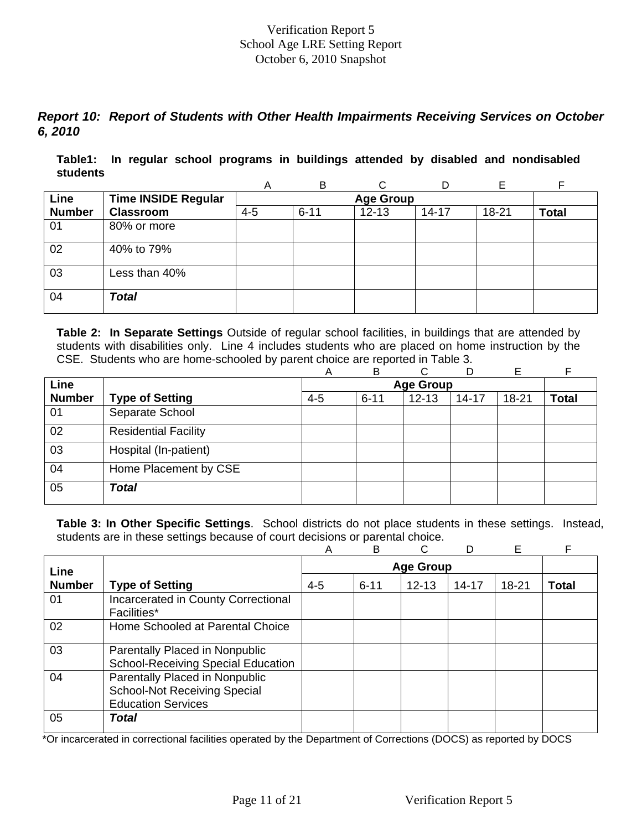# *Report 10: Report of Students with Other Health Impairments Receiving Services on October 6, 2010*

**Table1: In regular school programs in buildings attended by disabled and nondisabled students** 

|               |                            | A       | B                |           | D         | Е         |              |  |  |  |  |  |
|---------------|----------------------------|---------|------------------|-----------|-----------|-----------|--------------|--|--|--|--|--|
| Line          | <b>Time INSIDE Regular</b> |         | <b>Age Group</b> |           |           |           |              |  |  |  |  |  |
| <b>Number</b> | <b>Classroom</b>           | $4 - 5$ | $6 - 11$         | $12 - 13$ | $14 - 17$ | $18 - 21$ | <b>Total</b> |  |  |  |  |  |
| 01            | 80% or more                |         |                  |           |           |           |              |  |  |  |  |  |
| 02            | 40% to 79%                 |         |                  |           |           |           |              |  |  |  |  |  |
| 03            | Less than 40%              |         |                  |           |           |           |              |  |  |  |  |  |
| 04            | <b>Total</b>               |         |                  |           |           |           |              |  |  |  |  |  |

**Table 2: In Separate Settings** Outside of regular school facilities, in buildings that are attended by students with disabilities only. Line 4 includes students who are placed on home instruction by the CSE. Students who are home-schooled by parent choice are reported in Table 3.

|               |                             | Α       | B        | C.               | D         | Е         | F            |
|---------------|-----------------------------|---------|----------|------------------|-----------|-----------|--------------|
| Line          |                             |         |          | <b>Age Group</b> |           |           |              |
| <b>Number</b> | <b>Type of Setting</b>      | $4 - 5$ | $6 - 11$ | $12 - 13$        | $14 - 17$ | $18 - 21$ | <b>Total</b> |
| 01            | Separate School             |         |          |                  |           |           |              |
| 02            | <b>Residential Facility</b> |         |          |                  |           |           |              |
| 03            | Hospital (In-patient)       |         |          |                  |           |           |              |
| 04            | Home Placement by CSE       |         |          |                  |           |           |              |
| 05            | <b>Total</b>                |         |          |                  |           |           |              |

**Table 3: In Other Specific Settings**. School districts do not place students in these settings. Instead, students are in these settings because of court decisions or parental choice.

|               |                                                                                                    | Α       | B        | C.               |           | E         | F            |
|---------------|----------------------------------------------------------------------------------------------------|---------|----------|------------------|-----------|-----------|--------------|
| Line          |                                                                                                    |         |          | <b>Age Group</b> |           |           |              |
| <b>Number</b> | <b>Type of Setting</b>                                                                             | $4 - 5$ | $6 - 11$ | $12 - 13$        | $14 - 17$ | $18 - 21$ | <b>Total</b> |
| 01            | Incarcerated in County Correctional<br><b>Facilities*</b>                                          |         |          |                  |           |           |              |
| 02            | Home Schooled at Parental Choice                                                                   |         |          |                  |           |           |              |
| 03            | Parentally Placed in Nonpublic<br><b>School-Receiving Special Education</b>                        |         |          |                  |           |           |              |
| 04            | Parentally Placed in Nonpublic<br><b>School-Not Receiving Special</b><br><b>Education Services</b> |         |          |                  |           |           |              |
| 05            | Total                                                                                              |         |          |                  |           |           |              |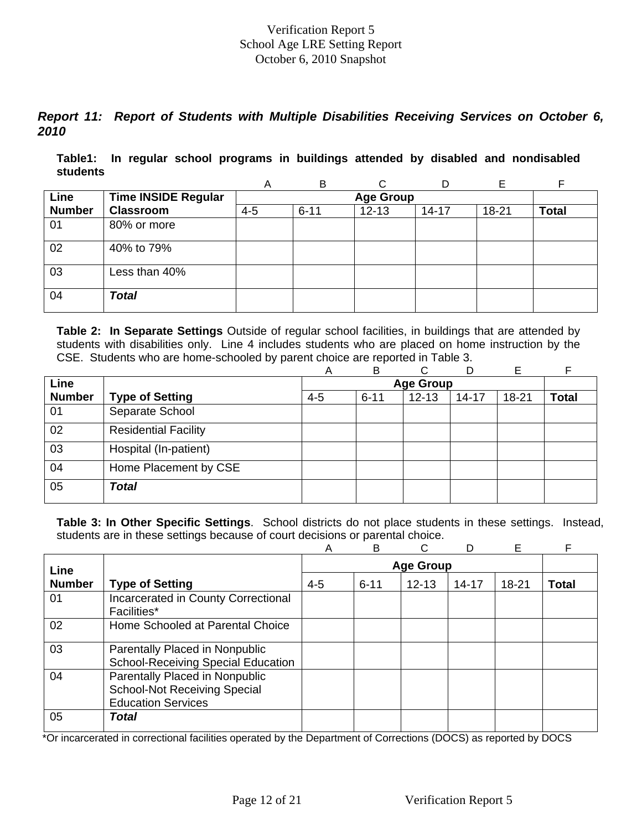# *Report 11: Report of Students with Multiple Disabilities Receiving Services on October 6, 2010*

**Table1: In regular school programs in buildings attended by disabled and nondisabled students** 

|               |                            | A       | B                | ⌒         |           |       |              |  |  |  |  |  |
|---------------|----------------------------|---------|------------------|-----------|-----------|-------|--------------|--|--|--|--|--|
| Line          | <b>Time INSIDE Regular</b> |         | <b>Age Group</b> |           |           |       |              |  |  |  |  |  |
| <b>Number</b> | <b>Classroom</b>           | $4 - 5$ | $6 - 11$         | $12 - 13$ | $14 - 17$ | 18-21 | <b>Total</b> |  |  |  |  |  |
| 01            | 80% or more                |         |                  |           |           |       |              |  |  |  |  |  |
| 02            | 40% to 79%                 |         |                  |           |           |       |              |  |  |  |  |  |
| 03            | Less than 40%              |         |                  |           |           |       |              |  |  |  |  |  |
| 04            | <b>Total</b>               |         |                  |           |           |       |              |  |  |  |  |  |

**Table 2: In Separate Settings** Outside of regular school facilities, in buildings that are attended by students with disabilities only. Line 4 includes students who are placed on home instruction by the CSE. Students who are home-schooled by parent choice are reported in Table 3.

|               |                             | Α       | B        | C.               | D         | Е         | E            |
|---------------|-----------------------------|---------|----------|------------------|-----------|-----------|--------------|
| Line          |                             |         |          | <b>Age Group</b> |           |           |              |
| <b>Number</b> | <b>Type of Setting</b>      | $4 - 5$ | $6 - 11$ | $12 - 13$        | $14 - 17$ | $18 - 21$ | <b>Total</b> |
| 01            | Separate School             |         |          |                  |           |           |              |
| 02            | <b>Residential Facility</b> |         |          |                  |           |           |              |
| 03            | Hospital (In-patient)       |         |          |                  |           |           |              |
| 04            | Home Placement by CSE       |         |          |                  |           |           |              |
| 05            | Total                       |         |          |                  |           |           |              |

**Table 3: In Other Specific Settings**. School districts do not place students in these settings. Instead, students are in these settings because of court decisions or parental choice.

|               |                                                                                                    | Α       | B        | C                |           | E     | F            |
|---------------|----------------------------------------------------------------------------------------------------|---------|----------|------------------|-----------|-------|--------------|
| Line          |                                                                                                    |         |          | <b>Age Group</b> |           |       |              |
| <b>Number</b> | <b>Type of Setting</b>                                                                             | $4 - 5$ | $6 - 11$ | $12 - 13$        | $14 - 17$ | 18-21 | <b>Total</b> |
| 01            | Incarcerated in County Correctional<br><b>Facilities*</b>                                          |         |          |                  |           |       |              |
| 02            | Home Schooled at Parental Choice                                                                   |         |          |                  |           |       |              |
| 03            | Parentally Placed in Nonpublic<br><b>School-Receiving Special Education</b>                        |         |          |                  |           |       |              |
| 04            | Parentally Placed in Nonpublic<br><b>School-Not Receiving Special</b><br><b>Education Services</b> |         |          |                  |           |       |              |
| 05            | Total                                                                                              |         |          |                  |           |       |              |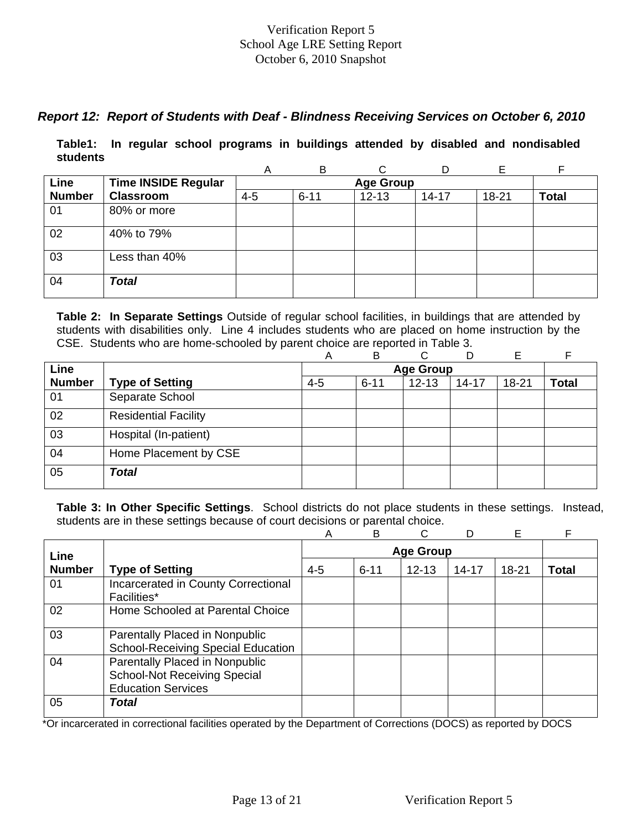# *Report 12: Report of Students with Deaf - Blindness Receiving Services on October 6, 2010*

**Table1: In regular school programs in buildings attended by disabled and nondisabled students** 

|               |                            | Α       | B                | ⌒         |           |       |              |  |  |  |  |
|---------------|----------------------------|---------|------------------|-----------|-----------|-------|--------------|--|--|--|--|
| Line          | <b>Time INSIDE Regular</b> |         | <b>Age Group</b> |           |           |       |              |  |  |  |  |
| <b>Number</b> | <b>Classroom</b>           | $4 - 5$ | $6 - 11$         | $12 - 13$ | $14 - 17$ | 18-21 | <b>Total</b> |  |  |  |  |
| 01            | 80% or more                |         |                  |           |           |       |              |  |  |  |  |
| 02            | 40% to 79%                 |         |                  |           |           |       |              |  |  |  |  |
| 03            | Less than 40%              |         |                  |           |           |       |              |  |  |  |  |
| 04            | <b>Total</b>               |         |                  |           |           |       |              |  |  |  |  |

**Table 2: In Separate Settings** Outside of regular school facilities, in buildings that are attended by students with disabilities only. Line 4 includes students who are placed on home instruction by the CSE. Students who are home-schooled by parent choice are reported in Table 3.

|               |                             | Α       | в        | ⌒                | D         | E     |              |
|---------------|-----------------------------|---------|----------|------------------|-----------|-------|--------------|
| Line          |                             |         |          | <b>Age Group</b> |           |       |              |
| <b>Number</b> | <b>Type of Setting</b>      | $4 - 5$ | $6 - 11$ | $12 - 13$        | $14 - 17$ | 18-21 | <b>Total</b> |
| 01            | Separate School             |         |          |                  |           |       |              |
| 02            | <b>Residential Facility</b> |         |          |                  |           |       |              |
| 03            | Hospital (In-patient)       |         |          |                  |           |       |              |
| 04            | Home Placement by CSE       |         |          |                  |           |       |              |
| 05            | <b>Total</b>                |         |          |                  |           |       |              |

**Table 3: In Other Specific Settings**. School districts do not place students in these settings. Instead, students are in these settings because of court decisions or parental choice.

|               |                                           | A       | B                |           | D         | Е     |       |  |
|---------------|-------------------------------------------|---------|------------------|-----------|-----------|-------|-------|--|
| Line          |                                           |         | <b>Age Group</b> |           |           |       |       |  |
| <b>Number</b> | <b>Type of Setting</b>                    | $4 - 5$ | $6 - 11$         | $12 - 13$ | $14 - 17$ | 18-21 | Total |  |
| 01            | Incarcerated in County Correctional       |         |                  |           |           |       |       |  |
|               | Facilities*                               |         |                  |           |           |       |       |  |
| 02            | Home Schooled at Parental Choice          |         |                  |           |           |       |       |  |
| 03            | Parentally Placed in Nonpublic            |         |                  |           |           |       |       |  |
|               | <b>School-Receiving Special Education</b> |         |                  |           |           |       |       |  |
| 04            | Parentally Placed in Nonpublic            |         |                  |           |           |       |       |  |
|               | <b>School-Not Receiving Special</b>       |         |                  |           |           |       |       |  |
|               | <b>Education Services</b>                 |         |                  |           |           |       |       |  |
| 05            | Total                                     |         |                  |           |           |       |       |  |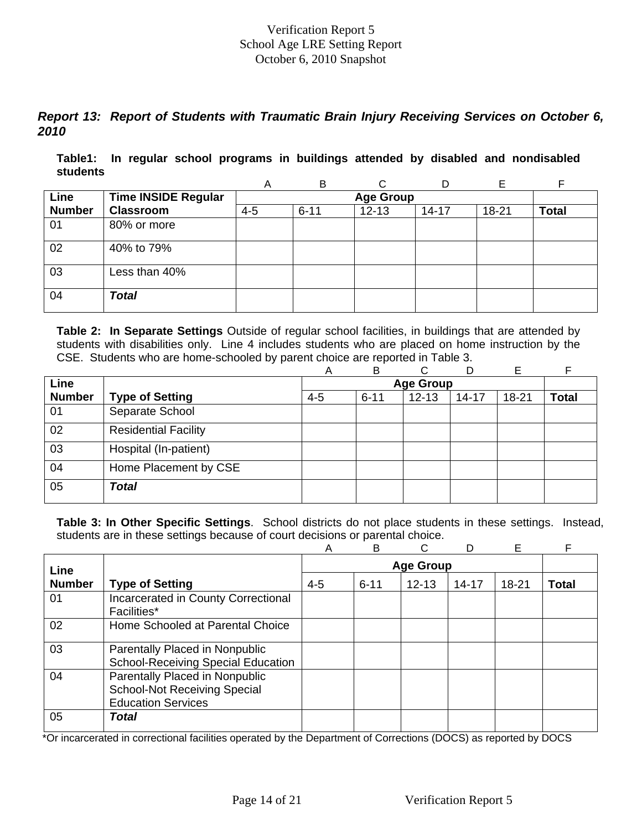# *Report 13: Report of Students with Traumatic Brain Injury Receiving Services on October 6, 2010*

**Table1: In regular school programs in buildings attended by disabled and nondisabled students** 

|               |                            | A       | B                |           |           | F         |              |  |  |  |
|---------------|----------------------------|---------|------------------|-----------|-----------|-----------|--------------|--|--|--|
| Line          | <b>Time INSIDE Regular</b> |         | <b>Age Group</b> |           |           |           |              |  |  |  |
| <b>Number</b> | <b>Classroom</b>           | $4 - 5$ | $6 - 11$         | $12 - 13$ | $14 - 17$ | $18 - 21$ | <b>Total</b> |  |  |  |
| 01            | 80% or more                |         |                  |           |           |           |              |  |  |  |
| 02            | 40% to 79%                 |         |                  |           |           |           |              |  |  |  |
| 03            | Less than 40%              |         |                  |           |           |           |              |  |  |  |
| 04            | <b>Total</b>               |         |                  |           |           |           |              |  |  |  |

**Table 2: In Separate Settings** Outside of regular school facilities, in buildings that are attended by students with disabilities only. Line 4 includes students who are placed on home instruction by the CSE. Students who are home-schooled by parent choice are reported in Table 3.

|               |                             | Α       | B        | C.        | D         | Е         |              |
|---------------|-----------------------------|---------|----------|-----------|-----------|-----------|--------------|
| Line          |                             |         |          |           |           |           |              |
| <b>Number</b> | <b>Type of Setting</b>      | $4 - 5$ | $6 - 11$ | $12 - 13$ | $14 - 17$ | $18 - 21$ | <b>Total</b> |
| 01            | Separate School             |         |          |           |           |           |              |
| 02            | <b>Residential Facility</b> |         |          |           |           |           |              |
| 03            | Hospital (In-patient)       |         |          |           |           |           |              |
| 04            | Home Placement by CSE       |         |          |           |           |           |              |
| 05            | <b>Total</b>                |         |          |           |           |           |              |

**Table 3: In Other Specific Settings**. School districts do not place students in these settings. Instead, students are in these settings because of court decisions or parental choice.

|               |                                                                                                    | Α       | B        | C                |           | E     | F            |
|---------------|----------------------------------------------------------------------------------------------------|---------|----------|------------------|-----------|-------|--------------|
| Line          |                                                                                                    |         |          | <b>Age Group</b> |           |       |              |
| <b>Number</b> | <b>Type of Setting</b>                                                                             | $4 - 5$ | $6 - 11$ | $12 - 13$        | $14 - 17$ | 18-21 | <b>Total</b> |
| 01            | Incarcerated in County Correctional<br><b>Facilities*</b>                                          |         |          |                  |           |       |              |
| 02            | Home Schooled at Parental Choice                                                                   |         |          |                  |           |       |              |
| 03            | Parentally Placed in Nonpublic<br><b>School-Receiving Special Education</b>                        |         |          |                  |           |       |              |
| 04            | Parentally Placed in Nonpublic<br><b>School-Not Receiving Special</b><br><b>Education Services</b> |         |          |                  |           |       |              |
| 05            | Total                                                                                              |         |          |                  |           |       |              |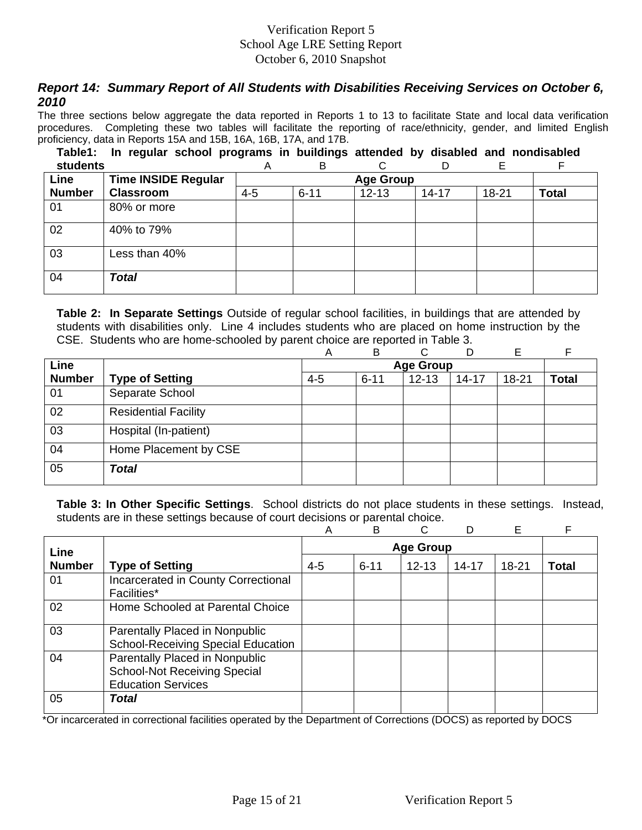# *Report 14: Summary Report of All Students with Disabilities Receiving Services on October 6, 2010*

The three sections below aggregate the data reported in Reports 1 to 13 to facilitate State and local data verification procedures. Completing these two tables will facilitate the reporting of race/ethnicity, gender, and limited English proficiency, data in Reports 15A and 15B, 16A, 16B, 17A, and 17B.

**Table1: In regular school programs in buildings attended by disabled and nondisabled** 

| students      |                            | Α                | B        | C         | D         | Е     | F            |
|---------------|----------------------------|------------------|----------|-----------|-----------|-------|--------------|
| Line          | <b>Time INSIDE Regular</b> | <b>Age Group</b> |          |           |           |       |              |
| <b>Number</b> | <b>Classroom</b>           | $4 - 5$          | $6 - 11$ | $12 - 13$ | $14 - 17$ | 18-21 | <b>Total</b> |
| 01            | 80% or more                |                  |          |           |           |       |              |
| 02            | 40% to 79%                 |                  |          |           |           |       |              |
| 03            | Less than 40%              |                  |          |           |           |       |              |
| 04            | <b>Total</b>               |                  |          |           |           |       |              |

**Table 2: In Separate Settings** Outside of regular school facilities, in buildings that are attended by students with disabilities only. Line 4 includes students who are placed on home instruction by the CSE. Students who are home-schooled by parent choice are reported in Table 3.

|               |                             | Α       | B        | ⌒                |           | Е         |              |
|---------------|-----------------------------|---------|----------|------------------|-----------|-----------|--------------|
| Line          |                             |         |          | <b>Age Group</b> |           |           |              |
| <b>Number</b> | <b>Type of Setting</b>      | $4 - 5$ | $6 - 11$ | $12 - 13$        | $14 - 17$ | $18 - 21$ | <b>Total</b> |
| 01            | Separate School             |         |          |                  |           |           |              |
| 02            | <b>Residential Facility</b> |         |          |                  |           |           |              |
| 03            | Hospital (In-patient)       |         |          |                  |           |           |              |
| 04            | Home Placement by CSE       |         |          |                  |           |           |              |
| 05            | <b>Total</b>                |         |          |                  |           |           |              |

**Table 3: In Other Specific Settings**. School districts do not place students in these settings. Instead, students are in these settings because of court decisions or parental choice.

|               |                                                                                                    | A       | B        |                  | D         | E         | F            |
|---------------|----------------------------------------------------------------------------------------------------|---------|----------|------------------|-----------|-----------|--------------|
| Line          |                                                                                                    |         |          | <b>Age Group</b> |           |           |              |
| <b>Number</b> | <b>Type of Setting</b>                                                                             | $4 - 5$ | $6 - 11$ | $12 - 13$        | $14 - 17$ | $18 - 21$ | <b>Total</b> |
| 01            | Incarcerated in County Correctional<br>Facilities*                                                 |         |          |                  |           |           |              |
| 02            | Home Schooled at Parental Choice                                                                   |         |          |                  |           |           |              |
| 03            | Parentally Placed in Nonpublic<br><b>School-Receiving Special Education</b>                        |         |          |                  |           |           |              |
| 04            | Parentally Placed in Nonpublic<br><b>School-Not Receiving Special</b><br><b>Education Services</b> |         |          |                  |           |           |              |
| 05            | Total                                                                                              |         |          |                  |           |           |              |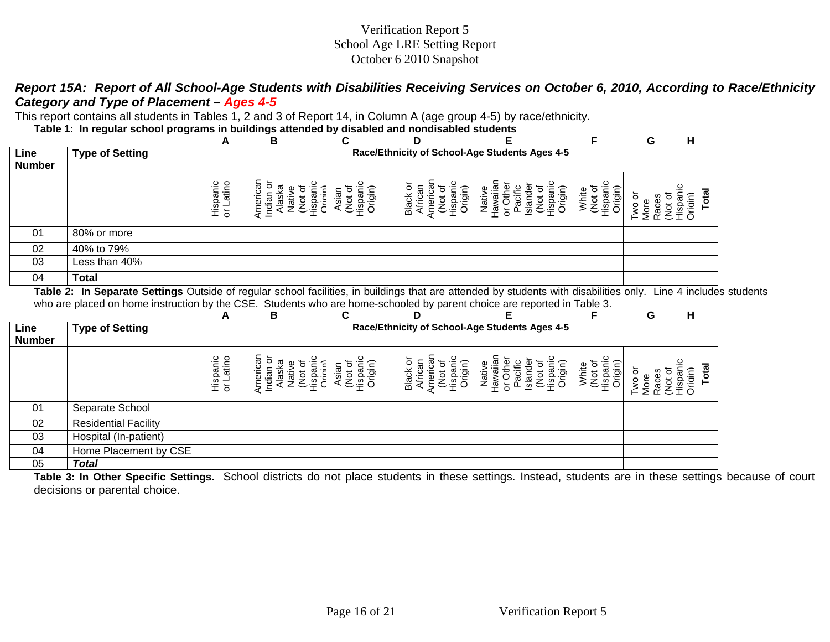# *Report 15A: Report of All School-Age Students with Disabilities Receiving Services on October 6, 2010, According to Race/Ethnicity Category and Type of Placement – Ages 4-5*

This report contains all students in Tables 1, 2 and 3 of Report 14, in Column A (age group 4-5) by race/ethnicity.

**Table 1: In regular school programs in buildings attended by disabled and nondisabled students** 

|                       | ູ                      | .<br>A                | -<br>в                                         |                | D                                 |         |                   | G | H         |  |
|-----------------------|------------------------|-----------------------|------------------------------------------------|----------------|-----------------------------------|---------|-------------------|---|-----------|--|
| Line<br><b>Number</b> | <b>Type of Setting</b> |                       | Race/Ethnicity of School-Age Students Ages 4-5 |                |                                   |         |                   |   |           |  |
|                       |                        | Hispanic<br>or Latino | erican<br>ᢐ<br><u>. –</u><br>◀                 | 'ಕಾ<br>.⊡<br>≌ | ō<br>$\bar{\mathbf{e}}$<br>ă<br>ő | ₫<br>हि | 6<br>₾<br>ō,<br>⇐ |   | ōtāl<br>Ξ |  |
| 01                    | 80% or more            |                       |                                                |                |                                   |         |                   |   |           |  |
| 02                    | 40% to 79%             |                       |                                                |                |                                   |         |                   |   |           |  |
| 03                    | Less than 40%          |                       |                                                |                |                                   |         |                   |   |           |  |
| 04                    | <b>Total</b>           |                       |                                                |                |                                   |         |                   |   |           |  |

**Table 2: In Separate Settings** Outside of regular school facilities, in buildings that are attended by students with disabilities only. Line 4 includes students who are placed on home instruction by the CSE. Students who are home-schooled by parent choice are reported in Table 3.

|                       |                             | A                     | в                                                                                                         | C                                 | D                                                      |                                                                           |                                  | G<br>H                                             |       |
|-----------------------|-----------------------------|-----------------------|-----------------------------------------------------------------------------------------------------------|-----------------------------------|--------------------------------------------------------|---------------------------------------------------------------------------|----------------------------------|----------------------------------------------------|-------|
| Line<br><b>Number</b> | <b>Type of Setting</b>      |                       | Race/Ethnicity of School-Age Students Ages 4-5                                                            |                                   |                                                        |                                                                           |                                  |                                                    |       |
|                       |                             | Hispanic<br>or Latino | herica<br>్రా<br>ā<br>$\overline{\text{as}}$<br>.<br>बं<br>$\tilde{\mathcal{E}}\bar{\tilde{\mathcal{E}}}$ | ತ<br>ಪ<br>Not<br>Hispan<br>Origin | ō<br>Origin)<br><b>Black</b><br>ispa<br>Hispa<br>∖meri | vaiia<br>acifi<br>Nativ<br>Drigir<br>天<br>ispa<br>흥<br>≂<br>້∘ື<br>⋸<br>៦ | yhite<br>Origi<br>Espai<br>Tispa | ৳<br>riain)<br>io ow<br>Races<br>More<br><b>SE</b> | Total |
| 01                    | Separate School             |                       |                                                                                                           |                                   |                                                        |                                                                           |                                  |                                                    |       |
| 02                    | <b>Residential Facility</b> |                       |                                                                                                           |                                   |                                                        |                                                                           |                                  |                                                    |       |
| 03                    | Hospital (In-patient)       |                       |                                                                                                           |                                   |                                                        |                                                                           |                                  |                                                    |       |
| 04                    | Home Placement by CSE       |                       |                                                                                                           |                                   |                                                        |                                                                           |                                  |                                                    |       |
| 05                    | <b>Total</b>                |                       |                                                                                                           |                                   |                                                        |                                                                           |                                  |                                                    |       |

**Table 3: In Other Specific Settings.** School districts do not place students in these settings. Instead, students are in these settings because of court decisions or parental choice.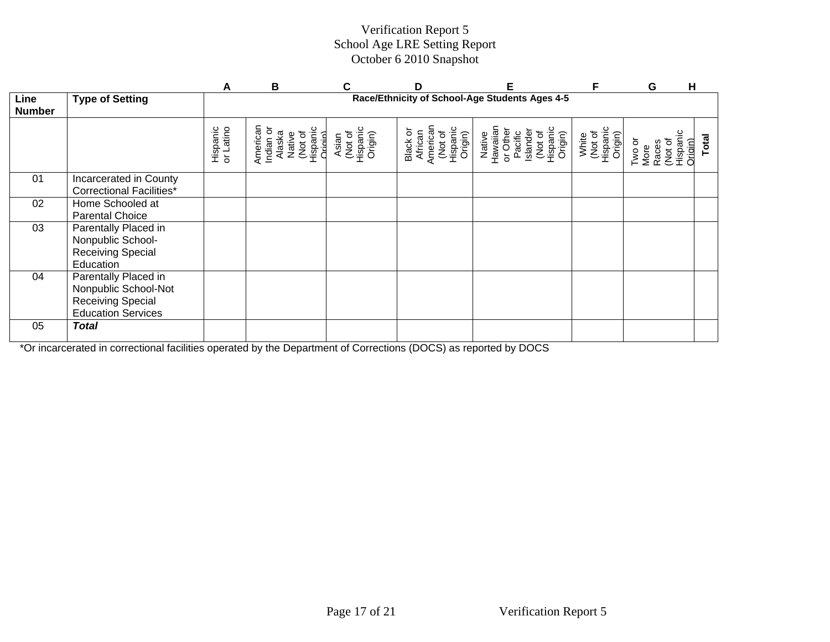|                       |                                                                                                       | A                     | в                                                                          |                                         | D                                                                 | F                                                                                      | F                                       | G                                                               | н            |  |
|-----------------------|-------------------------------------------------------------------------------------------------------|-----------------------|----------------------------------------------------------------------------|-----------------------------------------|-------------------------------------------------------------------|----------------------------------------------------------------------------------------|-----------------------------------------|-----------------------------------------------------------------|--------------|--|
| Line<br><b>Number</b> | <b>Type of Setting</b>                                                                                |                       | Race/Ethnicity of School-Age Students Ages 4-5                             |                                         |                                                                   |                                                                                        |                                         |                                                                 |              |  |
|                       |                                                                                                       | Hispanic<br>or Latino | American<br>Hispanic<br>Indian or<br>(Not of<br>Alaska<br>Native<br>Origin | (Not of<br>Hispanic<br>Origin)<br>Asian | American<br>(Not of<br>Hispanic<br>Origin)<br>Black or<br>African | Native<br>Hawaiian<br>or Other<br>(Not of<br>Hispanic<br>Islande<br>Pacific<br>Origin) | White<br>(Not of<br>Hispanic<br>Origin) | (Not of<br>Hispanic<br>Two or<br>More<br><b>Origin</b><br>Races | <b>Total</b> |  |
| 01                    | Incarcerated in County<br><b>Correctional Facilities*</b>                                             |                       |                                                                            |                                         |                                                                   |                                                                                        |                                         |                                                                 |              |  |
| 02                    | Home Schooled at<br><b>Parental Choice</b>                                                            |                       |                                                                            |                                         |                                                                   |                                                                                        |                                         |                                                                 |              |  |
| 03                    | Parentally Placed in<br>Nonpublic School-<br><b>Receiving Special</b><br>Education                    |                       |                                                                            |                                         |                                                                   |                                                                                        |                                         |                                                                 |              |  |
| 04                    | Parentally Placed in<br>Nonpublic School-Not<br><b>Receiving Special</b><br><b>Education Services</b> |                       |                                                                            |                                         |                                                                   |                                                                                        |                                         |                                                                 |              |  |
| 05                    | <b>Total</b>                                                                                          |                       |                                                                            |                                         |                                                                   |                                                                                        |                                         |                                                                 |              |  |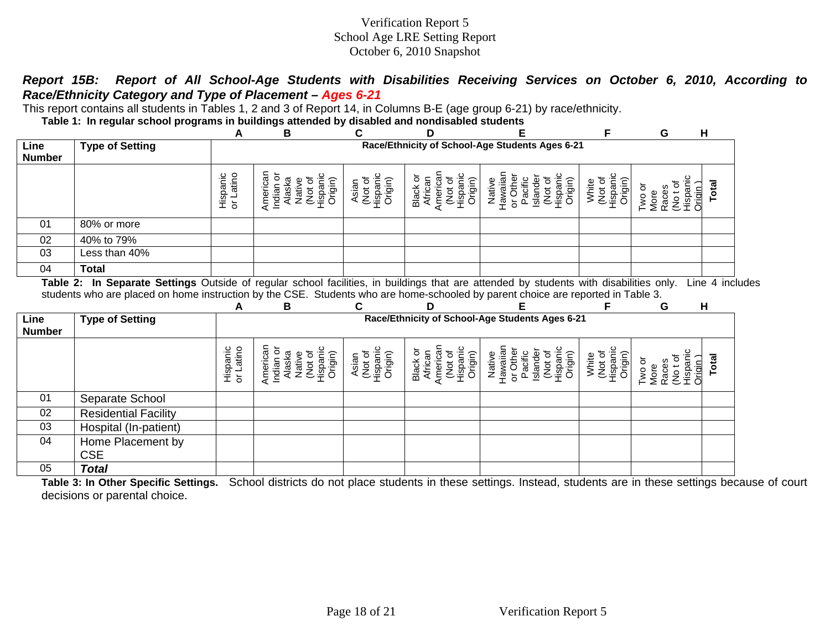## *Report 15B: Report of All School-Age Students with Disabilities Receiving Services on October 6, 2010, According to Race/Ethnicity Category and Type of Placement – Ages 6-21*

This report contains all students in Tables 1, 2 and 3 of Report 14, in Columns B-E (age group 6-21) by race/ethnicity.

**Table 1: In regular school programs in buildings attended by disabled and nondisabled students** 

CSE

05 *Total* 

|                       |                                                                                                                                  | A                     | B                                                                           | С                                       | D                                                                 | E                                                                                       |                                         | G                                               | Н                 |  |  |  |
|-----------------------|----------------------------------------------------------------------------------------------------------------------------------|-----------------------|-----------------------------------------------------------------------------|-----------------------------------------|-------------------------------------------------------------------|-----------------------------------------------------------------------------------------|-----------------------------------------|-------------------------------------------------|-------------------|--|--|--|
| Line<br><b>Number</b> | <b>Type of Setting</b>                                                                                                           |                       | Race/Ethnicity of School-Age Students Ages 6-21                             |                                         |                                                                   |                                                                                         |                                         |                                                 |                   |  |  |  |
|                       |                                                                                                                                  | Hispanic<br>or Latino | American<br>Indian or<br>Alaska<br>(Not of<br>Hispanic<br>Origin)<br>Native | (Not of<br>Hispanic<br>Origin)<br>Asian | American<br>Hispanic<br>Black or<br>African<br>(Not of<br>Origin) | Hawaiian<br>or Other<br>Hispanic<br>Islander<br>(Not of<br>Pacific<br>Origin)<br>Native | (Not of<br>Hispanic<br>Origin)<br>White | Hispanic<br>Notof<br>Two or<br>Races<br>More    | Total<br>Origin ) |  |  |  |
| 01                    | 80% or more                                                                                                                      |                       |                                                                             |                                         |                                                                   |                                                                                         |                                         |                                                 |                   |  |  |  |
| 02                    | 40% to 79%                                                                                                                       |                       |                                                                             |                                         |                                                                   |                                                                                         |                                         |                                                 |                   |  |  |  |
| 03                    | Less than 40%                                                                                                                    |                       |                                                                             |                                         |                                                                   |                                                                                         |                                         |                                                 |                   |  |  |  |
| 04                    | <b>Total</b>                                                                                                                     |                       |                                                                             |                                         |                                                                   |                                                                                         |                                         |                                                 |                   |  |  |  |
|                       | students who are placed on home instruction by the CSE. Students who are home-schooled by parent choice are reported in Table 3. | A                     | В                                                                           | C                                       | D                                                                 |                                                                                         |                                         | G                                               | н                 |  |  |  |
| Line<br><b>Number</b> | <b>Type of Setting</b>                                                                                                           |                       |                                                                             |                                         |                                                                   | Race/Ethnicity of School-Age Students Ages 6-21                                         |                                         |                                                 |                   |  |  |  |
|                       |                                                                                                                                  | Hispanic<br>or Latino | American<br>(Not of<br>Hispanic<br>Origin)<br>Indian or<br>Alaska<br>Native | Asian<br>(Not of<br>Hispanic<br>Origin) | American<br>Hispanic<br>Black or<br>(Not of<br>African<br>Origin) | Hawaiian<br>Hispanic<br>or Other<br>Islander<br>(Not of<br>Pacific<br>Native<br>Origin) | (Not of<br>Hispanic<br>Origin)<br>White | Hispanic<br>(No t of<br>Two or<br>Races<br>More | Total<br>Origin ) |  |  |  |
| 01                    | Separate School                                                                                                                  |                       |                                                                             |                                         |                                                                   |                                                                                         |                                         |                                                 |                   |  |  |  |
| 02                    | <b>Residential Facility</b>                                                                                                      |                       |                                                                             |                                         |                                                                   |                                                                                         |                                         |                                                 |                   |  |  |  |
| 03                    | Hospital (In-patient)                                                                                                            |                       |                                                                             |                                         |                                                                   |                                                                                         |                                         |                                                 |                   |  |  |  |
| 04                    | Home Placement by                                                                                                                |                       |                                                                             |                                         |                                                                   |                                                                                         |                                         |                                                 |                   |  |  |  |

**Table 3: In Other Specific Settings.** School districts do not place students in these settings. Instead, students are in these settings because of court decisions or parental choice.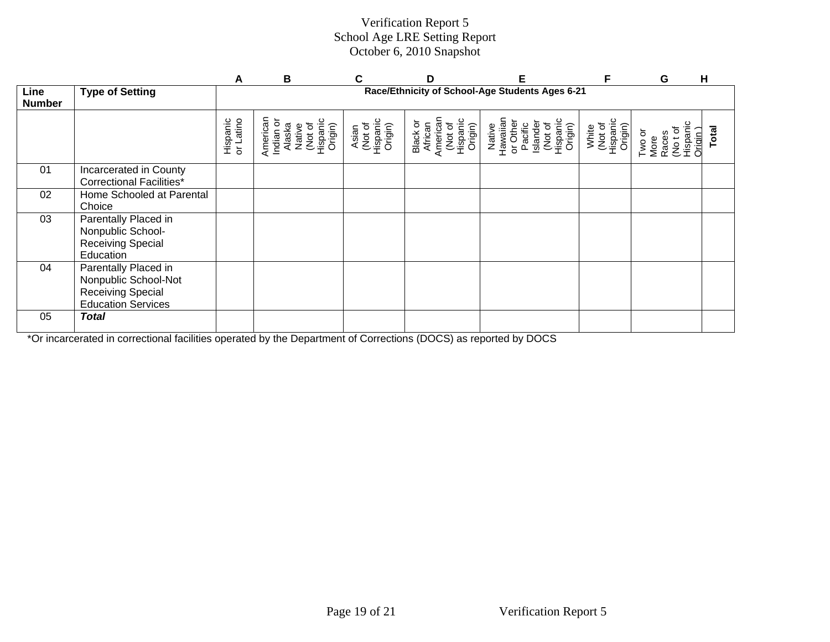|                       |                                                                                                    | A                     | B                                                                          |                                         | D                                                                 | Е                                                                                       | F                                       | G                                                       | H     |  |
|-----------------------|----------------------------------------------------------------------------------------------------|-----------------------|----------------------------------------------------------------------------|-----------------------------------------|-------------------------------------------------------------------|-----------------------------------------------------------------------------------------|-----------------------------------------|---------------------------------------------------------|-------|--|
| Line<br><b>Number</b> | <b>Type of Setting</b>                                                                             |                       | Race/Ethnicity of School-Age Students Ages 6-21                            |                                         |                                                                   |                                                                                         |                                         |                                                         |       |  |
|                       |                                                                                                    | Hispanic<br>or Latino | American<br>Indian or<br>Alaska<br>Native<br>Not of<br>Hispanic<br>Origin) | Asian<br>(Not of<br>Hispanic<br>Origin) | American<br>(Not of<br>Hispanic<br>Origin)<br>Black or<br>African | Hawaiian<br>or Other<br>Pacific<br>Islander<br>(Not of<br>Hispanic<br>Origin)<br>Native | (Not of<br>Hispanic<br>Origin)<br>White | More<br>Races<br>Cot of<br>Hispanic<br>Origin<br>Two or | Total |  |
| 01                    | Incarcerated in County<br><b>Correctional Facilities*</b>                                          |                       |                                                                            |                                         |                                                                   |                                                                                         |                                         |                                                         |       |  |
| 02                    | Home Schooled at Parental<br>Choice                                                                |                       |                                                                            |                                         |                                                                   |                                                                                         |                                         |                                                         |       |  |
| 03                    | Parentally Placed in<br>Nonpublic School-<br>Receiving Special<br>Education                        |                       |                                                                            |                                         |                                                                   |                                                                                         |                                         |                                                         |       |  |
| 04                    | Parentally Placed in<br>Nonpublic School-Not<br>Receiving Special<br><b>Education Services</b>     |                       |                                                                            |                                         |                                                                   |                                                                                         |                                         |                                                         |       |  |
| 05                    | <b>Total</b><br><b><i>Contract Contract</i></b><br>the contract of the contract of the contract of |                       | $\overline{a}$ . The contract of $\overline{a}$                            |                                         |                                                                   |                                                                                         |                                         |                                                         |       |  |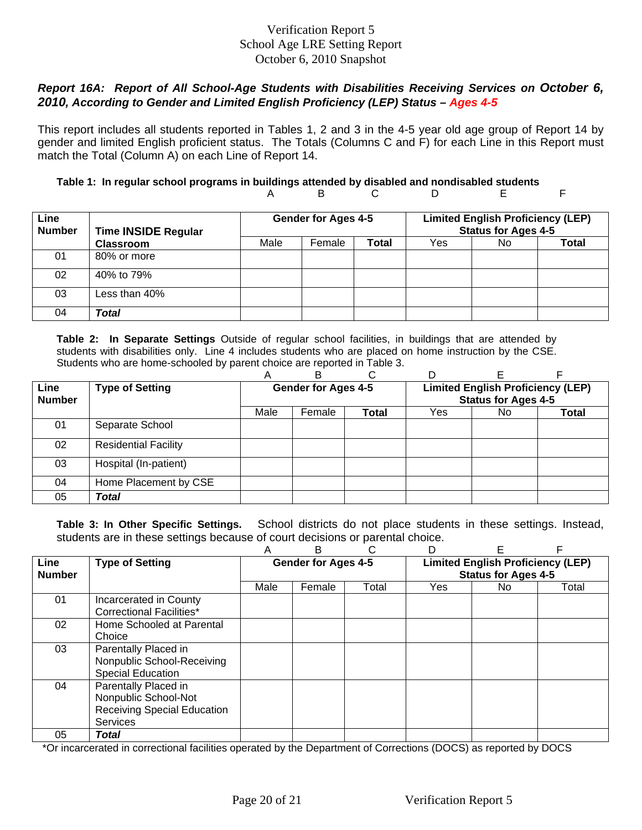# *Report 16A: Report of All School-Age Students with Disabilities Receiving Services on October 6, 2010, According to Gender and Limited English Proficiency (LEP) Status – Ages 4-5*

This report includes all students reported in Tables 1, 2 and 3 in the 4-5 year old age group of Report 14 by gender and limited English proficient status. The Totals (Columns C and F) for each Line in this Report must match the Total (Column A) on each Line of Report 14.

#### **Table 1: In regular school programs in buildings attended by disabled and nondisabled students**  A B C D E F

| Line<br><b>Number</b> | <b>Time INSIDE Regular</b> |      | <b>Gender for Ages 4-5</b> |       |     | <b>Limited English Proficiency (LEP)</b><br><b>Status for Ages 4-5</b><br>No.<br>Total |  |
|-----------------------|----------------------------|------|----------------------------|-------|-----|----------------------------------------------------------------------------------------|--|
|                       | <b>Classroom</b>           | Male | Female                     | Total | Yes |                                                                                        |  |
| 01                    | 80% or more                |      |                            |       |     |                                                                                        |  |
| 02                    | 40% to 79%                 |      |                            |       |     |                                                                                        |  |
| 03                    | Less than 40%              |      |                            |       |     |                                                                                        |  |
| 04                    | Total                      |      |                            |       |     |                                                                                        |  |

**Table 2: In Separate Settings** Outside of regular school facilities, in buildings that are attended by students with disabilities only. Line 4 includes students who are placed on home instruction by the CSE. Students who are home-schooled by parent choice are reported in Table 3.

|               |                             | Α                          | R                          |              |                                          |     |       |  |
|---------------|-----------------------------|----------------------------|----------------------------|--------------|------------------------------------------|-----|-------|--|
| Line          | <b>Type of Setting</b>      | <b>Gender for Ages 4-5</b> |                            |              | <b>Limited English Proficiency (LEP)</b> |     |       |  |
| <b>Number</b> |                             |                            | <b>Status for Ages 4-5</b> |              |                                          |     |       |  |
|               |                             | Male                       | Female                     | <b>Total</b> | Yes                                      | No. | Total |  |
| 01            | Separate School             |                            |                            |              |                                          |     |       |  |
| 02            | <b>Residential Facility</b> |                            |                            |              |                                          |     |       |  |
| 03            | Hospital (In-patient)       |                            |                            |              |                                          |     |       |  |
| 04            | Home Placement by CSE       |                            |                            |              |                                          |     |       |  |
| 05            | Total                       |                            |                            |              |                                          |     |       |  |

**Table 3: In Other Specific Settings.** School districts do not place students in these settings. Instead, students are in these settings because of court decisions or parental choice.

|                              |                                                                                                | Α                          | в      |       |                                                                        | F   |       |
|------------------------------|------------------------------------------------------------------------------------------------|----------------------------|--------|-------|------------------------------------------------------------------------|-----|-------|
| <b>Line</b><br><b>Number</b> | <b>Type of Setting</b>                                                                         | <b>Gender for Ages 4-5</b> |        |       | <b>Limited English Proficiency (LEP)</b><br><b>Status for Ages 4-5</b> |     |       |
|                              |                                                                                                | Male                       | Female | Total | Yes.                                                                   | No. | Total |
| 01                           | Incarcerated in County<br><b>Correctional Facilities*</b>                                      |                            |        |       |                                                                        |     |       |
| 02                           | Home Schooled at Parental<br>Choice                                                            |                            |        |       |                                                                        |     |       |
| 03                           | Parentally Placed in<br>Nonpublic School-Receiving<br><b>Special Education</b>                 |                            |        |       |                                                                        |     |       |
| 04                           | Parentally Placed in<br>Nonpublic School-Not<br><b>Receiving Special Education</b><br>Services |                            |        |       |                                                                        |     |       |
| 05                           | Total                                                                                          |                            |        |       |                                                                        |     |       |